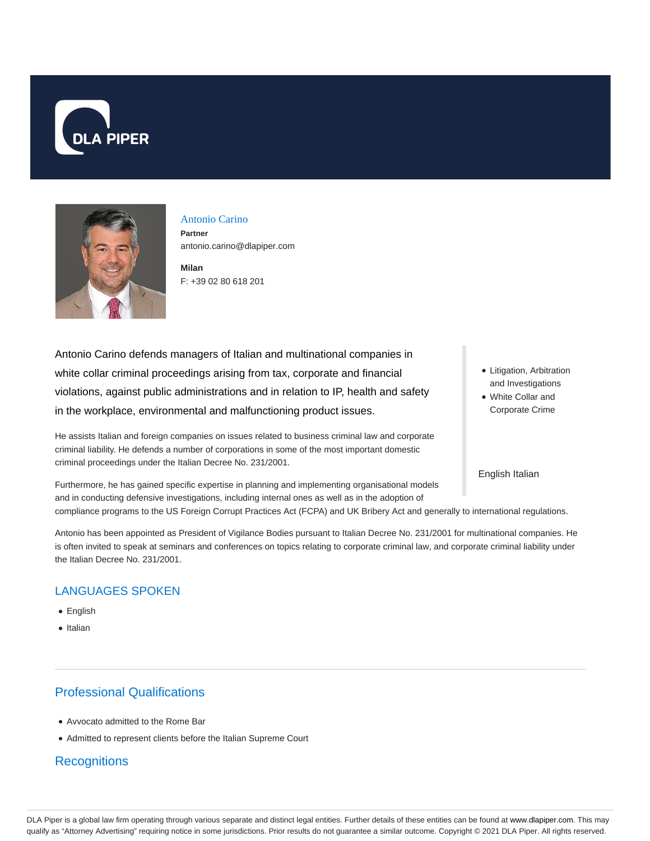



### Antonio Carino

**Partner** antonio.carino@dlapiper.com

**Milan** F: +39 02 80 618 201

Antonio Carino defends managers of Italian and multinational companies in white collar criminal proceedings arising from tax, corporate and financial violations, against public administrations and in relation to IP, health and safety in the workplace, environmental and malfunctioning product issues.

He assists Italian and foreign companies on issues related to business criminal law and corporate criminal liability. He defends a number of corporations in some of the most important domestic criminal proceedings under the Italian Decree No. 231/2001.

Furthermore, he has gained specific expertise in planning and implementing organisational models and in conducting defensive investigations, including internal ones as well as in the adoption of

• Litigation, Arbitration and Investigations

White Collar and Corporate Crime

English Italian

compliance programs to the US Foreign Corrupt Practices Act (FCPA) and UK Bribery Act and generally to international regulations.

Antonio has been appointed as President of Vigilance Bodies pursuant to Italian Decree No. 231/2001 for multinational companies. He is often invited to speak at seminars and conferences on topics relating to corporate criminal law, and corporate criminal liability under the Italian Decree No. 231/2001.

### LANGUAGES SPOKEN

- **•** English
- Italian

# Professional Qualifications

- Avvocato admitted to the Rome Bar
- Admitted to represent clients before the Italian Supreme Court

## **Recognitions**

DLA Piper is a global law firm operating through various separate and distinct legal entities. Further details of these entities can be found at www.dlapiper.com. This may qualify as "Attorney Advertising" requiring notice in some jurisdictions. Prior results do not guarantee a similar outcome. Copyright @ 2021 DLA Piper. All rights reserved.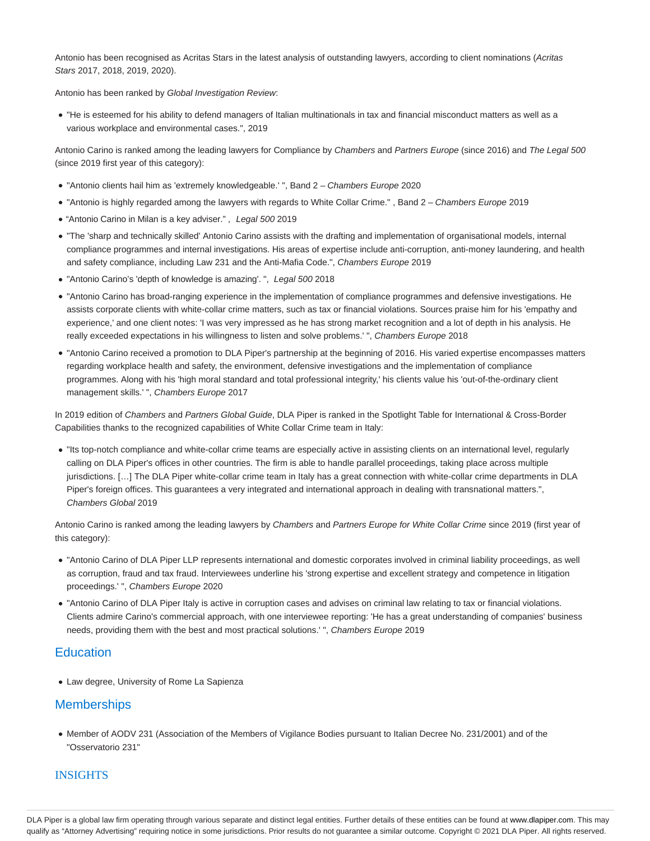Antonio has been recognised as Acritas Stars in the latest analysis of outstanding lawyers, according to client nominations (Acritas Stars 2017, 2018, 2019, 2020).

Antonio has been ranked by Global Investigation Review:

"He is esteemed for his ability to defend managers of Italian multinationals in tax and financial misconduct matters as well as a various workplace and environmental cases.", 2019

Antonio Carino is ranked among the leading lawyers for Compliance by Chambers and Partners Europe (since 2016) and The Legal 500 (since 2019 first year of this category):

- "Antonio clients hail him as 'extremely knowledgeable.' ", Band 2 Chambers Europe 2020
- "Antonio is highly regarded among the lawyers with regards to White Collar Crime." , Band 2 Chambers Europe 2019
- "Antonio Carino in Milan is a key adviser.", Legal 500 2019
- "The 'sharp and technically skilled' Antonio Carino assists with the drafting and implementation of organisational models, internal compliance programmes and internal investigations. His areas of expertise include anti-corruption, anti-money laundering, and health and safety compliance, including Law 231 and the Anti-Mafia Code.", Chambers Europe 2019
- "Antonio Carino's 'depth of knowledge is amazing'. ", Legal 500 2018
- "Antonio Carino has broad-ranging experience in the implementation of compliance programmes and defensive investigations. He assists corporate clients with white-collar crime matters, such as tax or financial violations. Sources praise him for his 'empathy and experience,' and one client notes: 'I was very impressed as he has strong market recognition and a lot of depth in his analysis. He really exceeded expectations in his willingness to listen and solve problems.' ", Chambers Europe 2018
- "Antonio Carino received a promotion to DLA Piper's partnership at the beginning of 2016. His varied expertise encompasses matters regarding workplace health and safety, the environment, defensive investigations and the implementation of compliance programmes. Along with his 'high moral standard and total professional integrity,' his clients value his 'out-of-the-ordinary client management skills.' ", Chambers Europe 2017

In 2019 edition of Chambers and Partners Global Guide, DLA Piper is ranked in the Spotlight Table for International & Cross-Border Capabilities thanks to the recognized capabilities of White Collar Crime team in Italy:

"Its top-notch compliance and white-collar crime teams are especially active in assisting clients on an international level, regularly calling on DLA Piper's offices in other countries. The firm is able to handle parallel proceedings, taking place across multiple jurisdictions. […] The DLA Piper white-collar crime team in Italy has a great connection with white-collar crime departments in DLA Piper's foreign offices. This guarantees a very integrated and international approach in dealing with transnational matters.", Chambers Global 2019

Antonio Carino is ranked among the leading lawyers by Chambers and Partners Europe for White Collar Crime since 2019 (first year of this category):

- "Antonio Carino of DLA Piper LLP represents international and domestic corporates involved in criminal liability proceedings, as well as corruption, fraud and tax fraud. Interviewees underline his 'strong expertise and excellent strategy and competence in litigation proceedings.' ", Chambers Europe 2020
- "Antonio Carino of DLA Piper Italy is active in corruption cases and advises on criminal law relating to tax or financial violations. Clients admire Carino's commercial approach, with one interviewee reporting: 'He has a great understanding of companies' business needs, providing them with the best and most practical solutions.' ", Chambers Europe 2019

### **Education**

Law degree, University of Rome La Sapienza

## **Memberships**

Member of AODV 231 (Association of the Members of Vigilance Bodies pursuant to Italian Decree No. 231/2001) and of the "Osservatorio 231"

### **INSIGHTS**

DLA Piper is a global law firm operating through various separate and distinct legal entities. Further details of these entities can be found at www.dlapiper.com. This may qualify as "Attorney Advertising" requiring notice in some jurisdictions. Prior results do not guarantee a similar outcome. Copyright @ 2021 DLA Piper. All rights reserved.